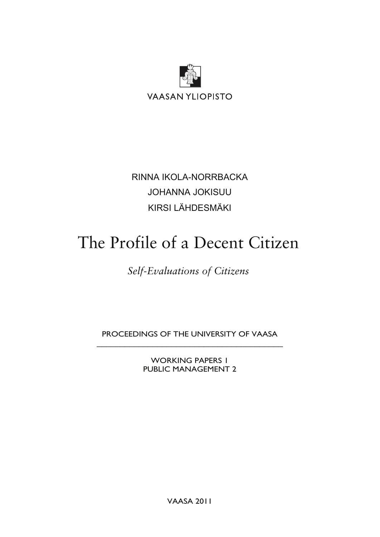

**VAASAN YLIOPISTO** 

RINNA IKOLA-NORRBACKA JOHANNA JOKISUU KIRSI LÄHDESMÄKI

# The Profile of a Decent Citizen

# *Self-Evaluations of Citizens*

PROCEEDINGS OF THE UNIVERSITY OF VAASA \_\_\_\_\_\_\_\_\_\_\_\_\_\_\_\_\_\_\_\_\_\_\_\_\_\_\_\_\_\_\_\_\_\_\_\_\_\_\_\_

> WORKING PAPERS 1 PUBLIC MANAGEMENT 2

> > VAASA 2011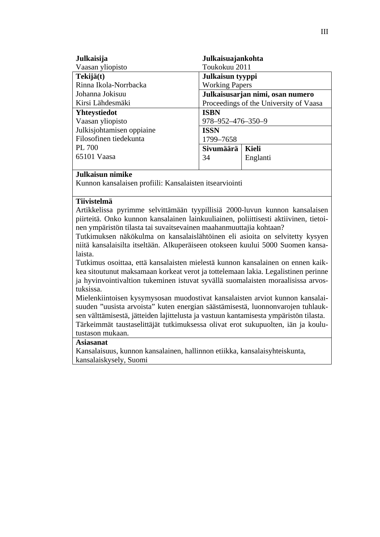| Julkaisuajankohta<br>Julkaisija |                                        |          |  |  |
|---------------------------------|----------------------------------------|----------|--|--|
| Vaasan yliopisto                | Toukokuu 2011                          |          |  |  |
| Tekijä(t)                       | Julkaisun tyyppi                       |          |  |  |
| Rinna Ikola-Norrbacka           | <b>Working Papers</b>                  |          |  |  |
| Johanna Jokisuu                 | Julkaisusarjan nimi, osan numero       |          |  |  |
| Kirsi Lähdesmäki                | Proceedings of the University of Vaasa |          |  |  |
| <b>Yhteystiedot</b>             | <b>ISBN</b>                            |          |  |  |
| Vaasan yliopisto                | 978-952-476-350-9                      |          |  |  |
| Julkisjohtamisen oppiaine       | <b>ISSN</b>                            |          |  |  |
| Filosofinen tiedekunta          | 1799-7658                              |          |  |  |
| <b>PL 700</b>                   | Sivumäärä                              | Kieli    |  |  |
| 65101 Vaasa                     | 34                                     | Englanti |  |  |
|                                 |                                        |          |  |  |

#### **Julkaisun nimike**

Kunnon kansalaisen profiili: Kansalaisten itsearviointi

#### **Tiivistelmä**

Artikkelissa pyrimme selvittämään tyypillisiä 2000-luvun kunnon kansalaisen piirteitä. Onko kunnon kansalainen lainkuuliainen, poliittisesti aktiivinen, tietoinen ympäristön tilasta tai suvaitsevainen maahanmuuttajia kohtaan?

Tutkimuksen näkökulma on kansalaislähtöinen eli asioita on selvitetty kysyen niitä kansalaisilta itseltään. Alkuperäiseen otokseen kuului 5000 Suomen kansalaista.

Tutkimus osoittaa, että kansalaisten mielestä kunnon kansalainen on ennen kaikkea sitoutunut maksamaan korkeat verot ja tottelemaan lakia. Legalistinen perinne ja hyvinvointivaltion tukeminen istuvat syvällä suomalaisten moraalisissa arvostuksissa.

Mielenkiintoisen kysymysosan muodostivat kansalaisten arviot kunnon kansalaisuuden "uusista arvoista" kuten energian säästämisestä, luonnonvarojen tuhlauksen välttämisestä, jätteiden lajittelusta ja vastuun kantamisesta ympäristön tilasta. Tärkeimmät taustaselittäjät tutkimuksessa olivat erot sukupuolten, iän ja koulutustason mukaan.

#### **Asiasanat**

Kansalaisuus, kunnon kansalainen, hallinnon etiikka, kansalaisyhteiskunta, kansalaiskysely, Suomi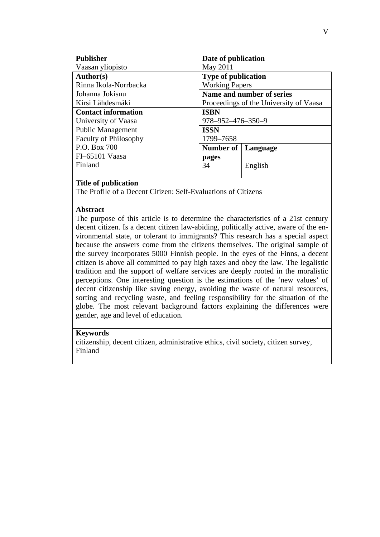| <b>Publisher</b>             | Date of publication                    |          |  |  |
|------------------------------|----------------------------------------|----------|--|--|
| Vaasan yliopisto             | May 2011                               |          |  |  |
| Author(s)                    | <b>Type of publication</b>             |          |  |  |
| Rinna Ikola-Norrbacka        | <b>Working Papers</b>                  |          |  |  |
| Johanna Jokisuu              | Name and number of series              |          |  |  |
| Kirsi Lähdesmäki             | Proceedings of the University of Vaasa |          |  |  |
| <b>Contact information</b>   | <b>ISBN</b>                            |          |  |  |
| University of Vaasa          | 978-952-476-350-9                      |          |  |  |
| <b>Public Management</b>     | <b>ISSN</b>                            |          |  |  |
| <b>Faculty of Philosophy</b> | 1799-7658                              |          |  |  |
| P.O. Box 700                 | Number of                              | Language |  |  |
| FI-65101 Vaasa               | pages                                  |          |  |  |
| Finland                      | 34                                     | English  |  |  |
|                              |                                        |          |  |  |

#### **Title of publication**

The Profile of a Decent Citizen: Self-Evaluations of Citizens

#### **Abstract**

The purpose of this article is to determine the characteristics of a 21st century decent citizen. Is a decent citizen law-abiding, politically active, aware of the environmental state, or tolerant to immigrants? This research has a special aspect because the answers come from the citizens themselves. The original sample of the survey incorporates 5000 Finnish people. In the eyes of the Finns, a decent citizen is above all committed to pay high taxes and obey the law. The legalistic tradition and the support of welfare services are deeply rooted in the moralistic perceptions. One interesting question is the estimations of the 'new values' of decent citizenship like saving energy, avoiding the waste of natural resources, sorting and recycling waste, and feeling responsibility for the situation of the globe. The most relevant background factors explaining the differences were gender, age and level of education.

#### **Keywords**

citizenship, decent citizen, administrative ethics, civil society, citizen survey, Finland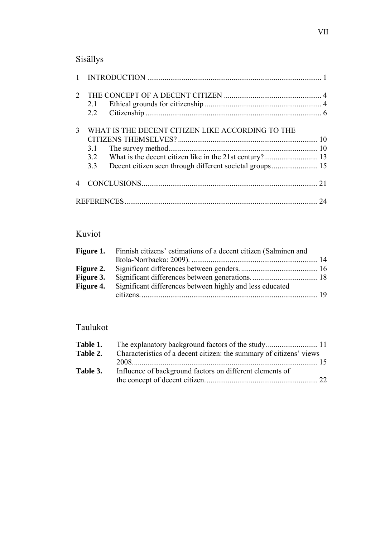### Sisällys

| $\mathcal{D}_{\mathcal{L}}$ | 2.1<br>2.2                                                            |    |
|-----------------------------|-----------------------------------------------------------------------|----|
| 3                           | WHAT IS THE DECENT CITIZEN LIKE ACCORDING TO THE<br>3.1<br>3.2<br>3.3 |    |
|                             |                                                                       |    |
|                             |                                                                       | 24 |

### Kuviot

| <b>Figure 1.</b> Finnish citizens' estimations of a decent citizen (Salminen and |  |
|----------------------------------------------------------------------------------|--|
|                                                                                  |  |
|                                                                                  |  |
|                                                                                  |  |
| <b>Figure 4.</b> Significant differences between highly and less educated        |  |
|                                                                                  |  |

# Taulukot

| Table 1. |                                                                     |  |
|----------|---------------------------------------------------------------------|--|
| Table 2. | Characteristics of a decent citizen: the summary of citizens' views |  |
|          |                                                                     |  |
| Table 3. | Influence of background factors on different elements of            |  |
|          |                                                                     |  |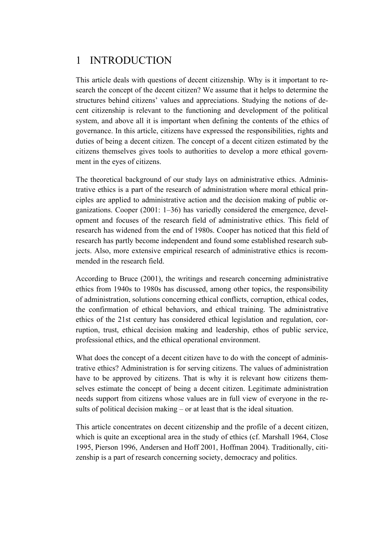# 1 INTRODUCTION

This article deals with questions of decent citizenship. Why is it important to research the concept of the decent citizen? We assume that it helps to determine the structures behind citizens' values and appreciations. Studying the notions of decent citizenship is relevant to the functioning and development of the political system, and above all it is important when defining the contents of the ethics of governance. In this article, citizens have expressed the responsibilities, rights and duties of being a decent citizen. The concept of a decent citizen estimated by the citizens themselves gives tools to authorities to develop a more ethical government in the eyes of citizens.

The theoretical background of our study lays on administrative ethics. Administrative ethics is a part of the research of administration where moral ethical principles are applied to administrative action and the decision making of public organizations. Cooper (2001: 1–36) has variedly considered the emergence, development and focuses of the research field of administrative ethics. This field of research has widened from the end of 1980s. Cooper has noticed that this field of research has partly become independent and found some established research subjects. Also, more extensive empirical research of administrative ethics is recommended in the research field.

According to Bruce (2001), the writings and research concerning administrative ethics from 1940s to 1980s has discussed, among other topics, the responsibility of administration, solutions concerning ethical conflicts, corruption, ethical codes, the confirmation of ethical behaviors, and ethical training. The administrative ethics of the 21st century has considered ethical legislation and regulation, corruption, trust, ethical decision making and leadership, ethos of public service, professional ethics, and the ethical operational environment.

What does the concept of a decent citizen have to do with the concept of administrative ethics? Administration is for serving citizens. The values of administration have to be approved by citizens. That is why it is relevant how citizens themselves estimate the concept of being a decent citizen. Legitimate administration needs support from citizens whose values are in full view of everyone in the results of political decision making – or at least that is the ideal situation.

This article concentrates on decent citizenship and the profile of a decent citizen, which is quite an exceptional area in the study of ethics (cf. Marshall 1964, Close 1995, Pierson 1996, Andersen and Hoff 2001, Hoffman 2004). Traditionally, citizenship is a part of research concerning society, democracy and politics.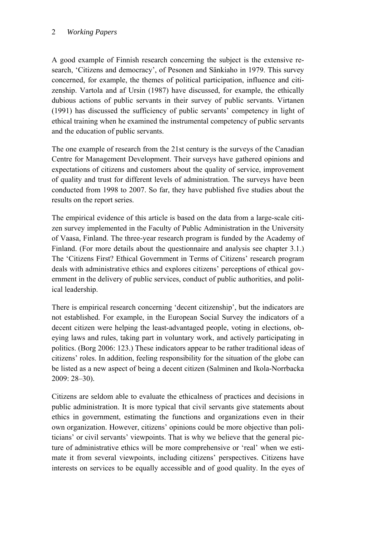#### 2 *Working Papers*

A good example of Finnish research concerning the subject is the extensive research, 'Citizens and democracy', of Pesonen and Sänkiaho in 1979. This survey concerned, for example, the themes of political participation, influence and citizenship. Vartola and af Ursin (1987) have discussed, for example, the ethically dubious actions of public servants in their survey of public servants. Virtanen (1991) has discussed the sufficiency of public servants' competency in light of ethical training when he examined the instrumental competency of public servants and the education of public servants.

The one example of research from the 21st century is the surveys of the Canadian Centre for Management Development. Their surveys have gathered opinions and expectations of citizens and customers about the quality of service, improvement of quality and trust for different levels of administration. The surveys have been conducted from 1998 to 2007. So far, they have published five studies about the results on the report series.

The empirical evidence of this article is based on the data from a large-scale citizen survey implemented in the Faculty of Public Administration in the University of Vaasa, Finland. The three-year research program is funded by the Academy of Finland. (For more details about the questionnaire and analysis see chapter 3.1.) The 'Citizens First? Ethical Government in Terms of Citizens' research program deals with administrative ethics and explores citizens' perceptions of ethical government in the delivery of public services, conduct of public authorities, and political leadership.

There is empirical research concerning 'decent citizenship', but the indicators are not established. For example, in the European Social Survey the indicators of a decent citizen were helping the least-advantaged people, voting in elections, obeying laws and rules, taking part in voluntary work, and actively participating in politics. (Borg 2006: 123.) These indicators appear to be rather traditional ideas of citizens' roles. In addition, feeling responsibility for the situation of the globe can be listed as a new aspect of being a decent citizen (Salminen and Ikola-Norrbacka 2009: 28–30).

Citizens are seldom able to evaluate the ethicalness of practices and decisions in public administration. It is more typical that civil servants give statements about ethics in government, estimating the functions and organizations even in their own organization. However, citizens' opinions could be more objective than politicians' or civil servants' viewpoints. That is why we believe that the general picture of administrative ethics will be more comprehensive or 'real' when we estimate it from several viewpoints, including citizens' perspectives. Citizens have interests on services to be equally accessible and of good quality. In the eyes of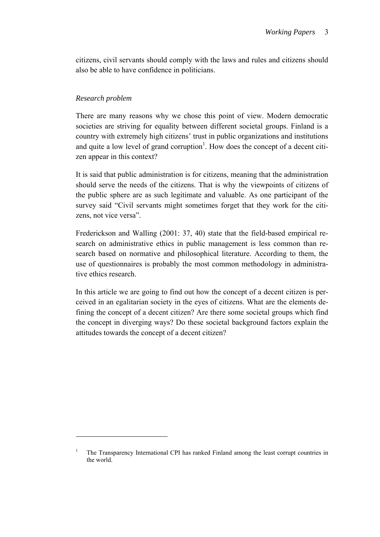citizens, civil servants should comply with the laws and rules and citizens should also be able to have confidence in politicians.

#### *Research problem*

1

There are many reasons why we chose this point of view. Modern democratic societies are striving for equality between different societal groups. Finland is a country with extremely high citizens' trust in public organizations and institutions and quite a low level of grand corruption<sup>1</sup>. How does the concept of a decent citizen appear in this context?

It is said that public administration is for citizens, meaning that the administration should serve the needs of the citizens. That is why the viewpoints of citizens of the public sphere are as such legitimate and valuable. As one participant of the survey said "Civil servants might sometimes forget that they work for the citizens, not vice versa".

Frederickson and Walling (2001: 37, 40) state that the field-based empirical research on administrative ethics in public management is less common than research based on normative and philosophical literature. According to them, the use of questionnaires is probably the most common methodology in administrative ethics research.

In this article we are going to find out how the concept of a decent citizen is perceived in an egalitarian society in the eyes of citizens. What are the elements defining the concept of a decent citizen? Are there some societal groups which find the concept in diverging ways? Do these societal background factors explain the attitudes towards the concept of a decent citizen?

<sup>&</sup>lt;sup>1</sup> The Transparency International CPI has ranked Finland among the least corrupt countries in the world.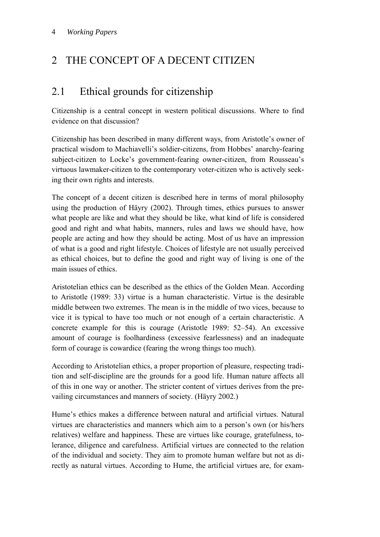# 2 THE CONCEPT OF A DECENT CITIZEN

# 2.1 Ethical grounds for citizenship

Citizenship is a central concept in western political discussions. Where to find evidence on that discussion?

Citizenship has been described in many different ways, from Aristotle's owner of practical wisdom to Machiavelli's soldier-citizens, from Hobbes' anarchy-fearing subject-citizen to Locke's government-fearing owner-citizen, from Rousseau's virtuous lawmaker-citizen to the contemporary voter-citizen who is actively seeking their own rights and interests.

The concept of a decent citizen is described here in terms of moral philosophy using the production of Häyry (2002). Through times, ethics pursues to answer what people are like and what they should be like, what kind of life is considered good and right and what habits, manners, rules and laws we should have, how people are acting and how they should be acting. Most of us have an impression of what is a good and right lifestyle. Choices of lifestyle are not usually perceived as ethical choices, but to define the good and right way of living is one of the main issues of ethics.

Aristotelian ethics can be described as the ethics of the Golden Mean. According to Aristotle (1989: 33) virtue is a human characteristic. Virtue is the desirable middle between two extremes. The mean is in the middle of two vices, because to vice it is typical to have too much or not enough of a certain characteristic. A concrete example for this is courage (Aristotle 1989: 52–54). An excessive amount of courage is foolhardiness (excessive fearlessness) and an inadequate form of courage is cowardice (fearing the wrong things too much).

According to Aristotelian ethics, a proper proportion of pleasure, respecting tradition and self-discipline are the grounds for a good life. Human nature affects all of this in one way or another. The stricter content of virtues derives from the prevailing circumstances and manners of society. (Häyry 2002.)

Hume's ethics makes a difference between natural and artificial virtues. Natural virtues are characteristics and manners which aim to a person's own (or his/hers relatives) welfare and happiness. These are virtues like courage, gratefulness, tolerance, diligence and carefulness. Artificial virtues are connected to the relation of the individual and society. They aim to promote human welfare but not as directly as natural virtues. According to Hume, the artificial virtues are, for exam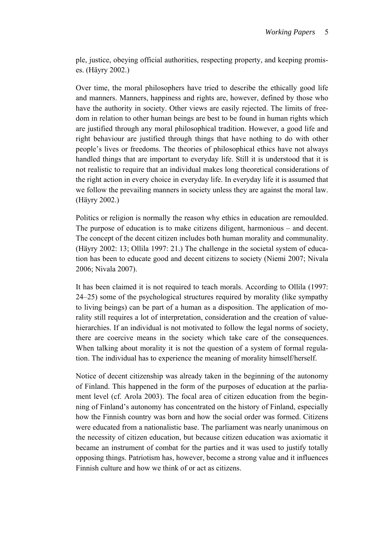ple, justice, obeying official authorities, respecting property, and keeping promises. (Häyry 2002.)

Over time, the moral philosophers have tried to describe the ethically good life and manners. Manners, happiness and rights are, however, defined by those who have the authority in society. Other views are easily rejected. The limits of freedom in relation to other human beings are best to be found in human rights which are justified through any moral philosophical tradition. However, a good life and right behaviour are justified through things that have nothing to do with other people's lives or freedoms. The theories of philosophical ethics have not always handled things that are important to everyday life. Still it is understood that it is not realistic to require that an individual makes long theoretical considerations of the right action in every choice in everyday life. In everyday life it is assumed that we follow the prevailing manners in society unless they are against the moral law. (Häyry 2002.)

Politics or religion is normally the reason why ethics in education are remoulded. The purpose of education is to make citizens diligent, harmonious – and decent. The concept of the decent citizen includes both human morality and communality. (Häyry 2002: 13; Ollila 1997: 21.) The challenge in the societal system of education has been to educate good and decent citizens to society (Niemi 2007; Nivala 2006; Nivala 2007).

It has been claimed it is not required to teach morals. According to Ollila (1997: 24–25) some of the psychological structures required by morality (like sympathy to living beings) can be part of a human as a disposition. The application of morality still requires a lot of interpretation, consideration and the creation of valuehierarchies. If an individual is not motivated to follow the legal norms of society, there are coercive means in the society which take care of the consequences. When talking about morality it is not the question of a system of formal regulation. The individual has to experience the meaning of morality himself/herself.

Notice of decent citizenship was already taken in the beginning of the autonomy of Finland. This happened in the form of the purposes of education at the parliament level (cf. Arola 2003). The focal area of citizen education from the beginning of Finland's autonomy has concentrated on the history of Finland, especially how the Finnish country was born and how the social order was formed. Citizens were educated from a nationalistic base. The parliament was nearly unanimous on the necessity of citizen education, but because citizen education was axiomatic it became an instrument of combat for the parties and it was used to justify totally opposing things. Patriotism has, however, become a strong value and it influences Finnish culture and how we think of or act as citizens.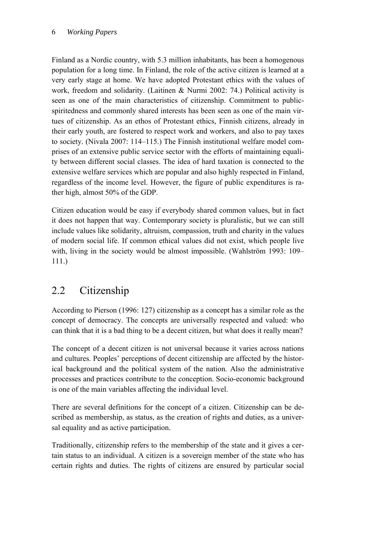Finland as a Nordic country, with 5.3 million inhabitants, has been a homogenous population for a long time. In Finland, the role of the active citizen is learned at a very early stage at home. We have adopted Protestant ethics with the values of work, freedom and solidarity. (Laitinen & Nurmi 2002: 74.) Political activity is seen as one of the main characteristics of citizenship. Commitment to publicspiritedness and commonly shared interests has been seen as one of the main virtues of citizenship. As an ethos of Protestant ethics, Finnish citizens, already in their early youth, are fostered to respect work and workers, and also to pay taxes to society. (Nivala 2007: 114–115.) The Finnish institutional welfare model comprises of an extensive public service sector with the efforts of maintaining equality between different social classes. The idea of hard taxation is connected to the extensive welfare services which are popular and also highly respected in Finland, regardless of the income level. However, the figure of public expenditures is rather high, almost 50% of the GDP.

Citizen education would be easy if everybody shared common values, but in fact it does not happen that way. Contemporary society is pluralistic, but we can still include values like solidarity, altruism, compassion, truth and charity in the values of modern social life. If common ethical values did not exist, which people live with, living in the society would be almost impossible. (Wahlström 1993: 109– 111.)

# 2.2 Citizenship

According to Pierson (1996: 127) citizenship as a concept has a similar role as the concept of democracy. The concepts are universally respected and valued: who can think that it is a bad thing to be a decent citizen, but what does it really mean?

The concept of a decent citizen is not universal because it varies across nations and cultures. Peoples' perceptions of decent citizenship are affected by the historical background and the political system of the nation. Also the administrative processes and practices contribute to the conception. Socio-economic background is one of the main variables affecting the individual level.

There are several definitions for the concept of a citizen. Citizenship can be described as membership, as status, as the creation of rights and duties, as a universal equality and as active participation.

Traditionally, citizenship refers to the membership of the state and it gives a certain status to an individual. A citizen is a sovereign member of the state who has certain rights and duties. The rights of citizens are ensured by particular social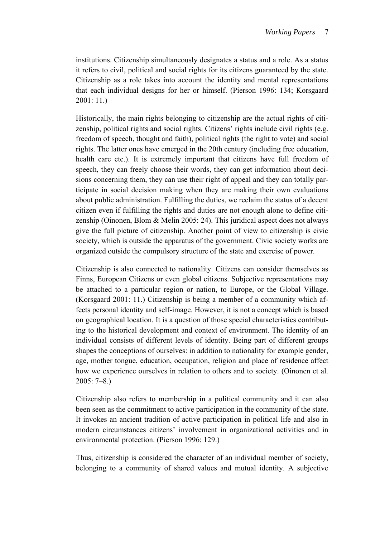institutions. Citizenship simultaneously designates a status and a role. As a status it refers to civil, political and social rights for its citizens guaranteed by the state. Citizenship as a role takes into account the identity and mental representations that each individual designs for her or himself. (Pierson 1996: 134; Korsgaard 2001: 11.)

Historically, the main rights belonging to citizenship are the actual rights of citizenship, political rights and social rights. Citizens' rights include civil rights (e.g. freedom of speech, thought and faith), political rights (the right to vote) and social rights. The latter ones have emerged in the 20th century (including free education, health care etc.). It is extremely important that citizens have full freedom of speech, they can freely choose their words, they can get information about decisions concerning them, they can use their right of appeal and they can totally participate in social decision making when they are making their own evaluations about public administration. Fulfilling the duties, we reclaim the status of a decent citizen even if fulfilling the rights and duties are not enough alone to define citizenship (Oinonen, Blom & Melin 2005: 24). This juridical aspect does not always give the full picture of citizenship. Another point of view to citizenship is civic society, which is outside the apparatus of the government. Civic society works are organized outside the compulsory structure of the state and exercise of power.

Citizenship is also connected to nationality. Citizens can consider themselves as Finns, European Citizens or even global citizens. Subjective representations may be attached to a particular region or nation, to Europe, or the Global Village. (Korsgaard 2001: 11.) Citizenship is being a member of a community which affects personal identity and self-image. However, it is not a concept which is based on geographical location. It is a question of those special characteristics contributing to the historical development and context of environment. The identity of an individual consists of different levels of identity. Being part of different groups shapes the conceptions of ourselves: in addition to nationality for example gender, age, mother tongue, education, occupation, religion and place of residence affect how we experience ourselves in relation to others and to society. (Oinonen et al. 2005: 7–8.)

Citizenship also refers to membership in a political community and it can also been seen as the commitment to active participation in the community of the state. It invokes an ancient tradition of active participation in political life and also in modern circumstances citizens' involvement in organizational activities and in environmental protection. (Pierson 1996: 129.)

Thus, citizenship is considered the character of an individual member of society, belonging to a community of shared values and mutual identity. A subjective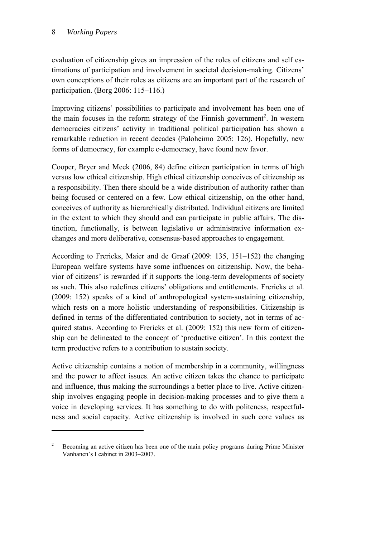<u>.</u>

evaluation of citizenship gives an impression of the roles of citizens and self estimations of participation and involvement in societal decision-making. Citizens' own conceptions of their roles as citizens are an important part of the research of participation. (Borg 2006: 115–116.)

Improving citizens' possibilities to participate and involvement has been one of the main focuses in the reform strategy of the Finnish government<sup>2</sup>. In western democracies citizens' activity in traditional political participation has shown a remarkable reduction in recent decades (Paloheimo 2005: 126). Hopefully, new forms of democracy, for example e-democracy, have found new favor.

Cooper, Bryer and Meek (2006, 84) define citizen participation in terms of high versus low ethical citizenship. High ethical citizenship conceives of citizenship as a responsibility. Then there should be a wide distribution of authority rather than being focused or centered on a few. Low ethical citizenship, on the other hand, conceives of authority as hierarchically distributed. Individual citizens are limited in the extent to which they should and can participate in public affairs. The distinction, functionally, is between legislative or administrative information exchanges and more deliberative, consensus-based approaches to engagement.

According to Frericks, Maier and de Graaf (2009: 135, 151–152) the changing European welfare systems have some influences on citizenship. Now, the behavior of citizens' is rewarded if it supports the long-term developments of society as such. This also redefines citizens' obligations and entitlements. Frericks et al. (2009: 152) speaks of a kind of anthropological system-sustaining citizenship, which rests on a more holistic understanding of responsibilities. Citizenship is defined in terms of the differentiated contribution to society, not in terms of acquired status. According to Frericks et al. (2009: 152) this new form of citizenship can be delineated to the concept of 'productive citizen'. In this context the term productive refers to a contribution to sustain society.

Active citizenship contains a notion of membership in a community, willingness and the power to affect issues. An active citizen takes the chance to participate and influence, thus making the surroundings a better place to live. Active citizenship involves engaging people in decision-making processes and to give them a voice in developing services. It has something to do with politeness, respectfulness and social capacity. Active citizenship is involved in such core values as

<sup>&</sup>lt;sup>2</sup> Becoming an active citizen has been one of the main policy programs during Prime Minister Vanhanen's I cabinet in 2003–2007.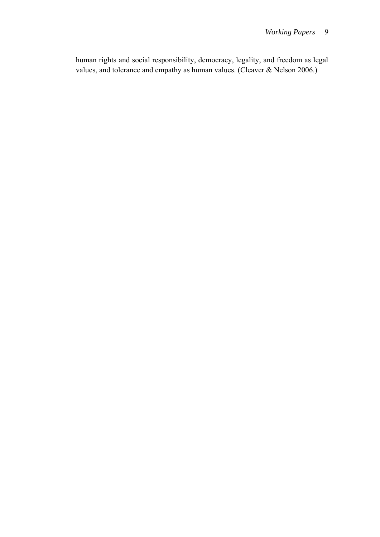human rights and social responsibility, democracy, legality, and freedom as legal values, and tolerance and empathy as human values. (Cleaver & Nelson 2006.)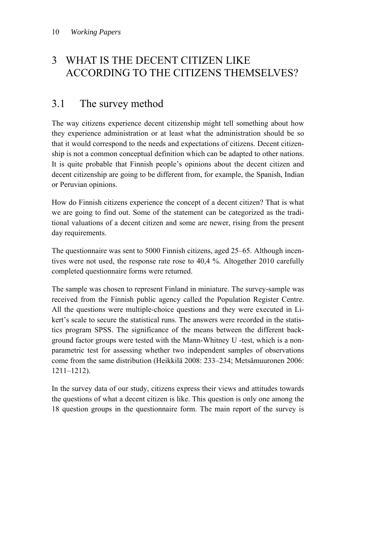### 3 WHAT IS THE DECENT CITIZEN LIKE ACCORDING TO THE CITIZENS THEMSELVES?

### 3.1 The survey method

The way citizens experience decent citizenship might tell something about how they experience administration or at least what the administration should be so that it would correspond to the needs and expectations of citizens. Decent citizenship is not a common conceptual definition which can be adapted to other nations. It is quite probable that Finnish people's opinions about the decent citizen and decent citizenship are going to be different from, for example, the Spanish, Indian or Peruvian opinions.

How do Finnish citizens experience the concept of a decent citizen? That is what we are going to find out. Some of the statement can be categorized as the traditional valuations of a decent citizen and some are newer, rising from the present day requirements.

The questionnaire was sent to 5000 Finnish citizens, aged 25–65. Although incentives were not used, the response rate rose to 40,4 %. Altogether 2010 carefully completed questionnaire forms were returned.

The sample was chosen to represent Finland in miniature. The survey-sample was received from the Finnish public agency called the Population Register Centre. All the questions were multiple-choice questions and they were executed in Likert's scale to secure the statistical runs. The answers were recorded in the statistics program SPSS. The significance of the means between the different background factor groups were tested with the Mann-Whitney U -test, which is a nonparametric test for assessing whether two independent samples of observations come from the same distribution (Heikkilä 2008: 233–234; Metsämuuronen 2006: 1211–1212).

In the survey data of our study, citizens express their views and attitudes towards the questions of what a decent citizen is like. This question is only one among the 18 question groups in the questionnaire form. The main report of the survey is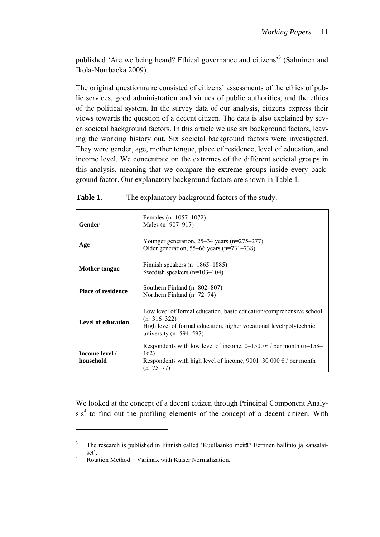published 'Are we being heard? Ethical governance and citizens<sup>3</sup> (Salminen and Ikola-Norrbacka 2009).

The original questionnaire consisted of citizens' assessments of the ethics of public services, good administration and virtues of public authorities, and the ethics of the political system. In the survey data of our analysis, citizens express their views towards the question of a decent citizen. The data is also explained by seven societal background factors. In this article we use six background factors, leaving the working history out. Six societal background factors were investigated. They were gender, age, mother tongue, place of residence, level of education, and income level. We concentrate on the extremes of the different societal groups in this analysis, meaning that we compare the extreme groups inside every background factor. Our explanatory background factors are shown in Table 1.

| Gender                      | Females $(n=1057-1072)$<br>Males $(n=907-917)$                                                                                                                                           |
|-----------------------------|------------------------------------------------------------------------------------------------------------------------------------------------------------------------------------------|
| Age                         | Younger generation, $25-34$ years (n= $275-277$ )<br>Older generation, 55–66 years ( $n=731-738$ )                                                                                       |
| Mother tongue               | Finnish speakers $(n=1865-1885)$<br>Swedish speakers $(n=103-104)$                                                                                                                       |
| <b>Place of residence</b>   | Southern Finland $(n=802-807)$<br>Northern Finland $(n=72-74)$                                                                                                                           |
| Level of education          | Low level of formal education, basic education/comprehensive school<br>$(n=316-322)$<br>High level of formal education, higher vocational level/polytechnic,<br>university $(n=594-597)$ |
| Income level /<br>household | Respondents with low level of income, $0-1500 \in \ell$ per month (n=158–<br>162)<br>Respondents with high level of income, 9001–30 000 $\epsilon$ / per month<br>$(n=75-77)$            |

**Table 1.** The explanatory background factors of the study.

We looked at the concept of a decent citizen through Principal Component Analy $sis<sup>4</sup>$  to find out the profiling elements of the concept of a decent citizen. With

<u>.</u>

<sup>&</sup>lt;sup>3</sup> The research is published in Finnish called 'Kuullaanko meitä? Eettinen hallinto ja kansalaiset'.<br>  $\frac{4}{100}$  Rotation Method = Varimax with Kaiser Normalization.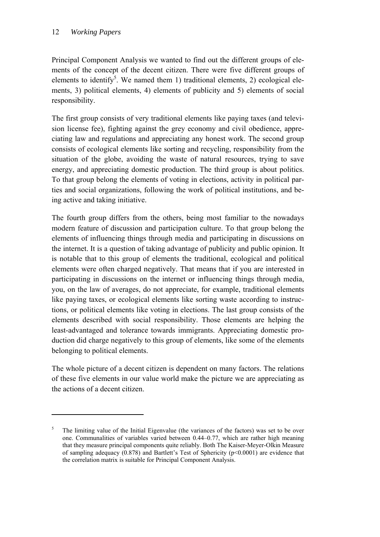1

Principal Component Analysis we wanted to find out the different groups of elements of the concept of the decent citizen. There were five different groups of elements to identify<sup>5</sup>. We named them 1) traditional elements, 2) ecological elements, 3) political elements, 4) elements of publicity and 5) elements of social responsibility.

The first group consists of very traditional elements like paying taxes (and television license fee), fighting against the grey economy and civil obedience, appreciating law and regulations and appreciating any honest work. The second group consists of ecological elements like sorting and recycling, responsibility from the situation of the globe, avoiding the waste of natural resources, trying to save energy, and appreciating domestic production. The third group is about politics. To that group belong the elements of voting in elections, activity in political parties and social organizations, following the work of political institutions, and being active and taking initiative.

The fourth group differs from the others, being most familiar to the nowadays modern feature of discussion and participation culture. To that group belong the elements of influencing things through media and participating in discussions on the internet. It is a question of taking advantage of publicity and public opinion. It is notable that to this group of elements the traditional, ecological and political elements were often charged negatively. That means that if you are interested in participating in discussions on the internet or influencing things through media, you, on the law of averages, do not appreciate, for example, traditional elements like paying taxes, or ecological elements like sorting waste according to instructions, or political elements like voting in elections. The last group consists of the elements described with social responsibility. Those elements are helping the least-advantaged and tolerance towards immigrants. Appreciating domestic production did charge negatively to this group of elements, like some of the elements belonging to political elements.

The whole picture of a decent citizen is dependent on many factors. The relations of these five elements in our value world make the picture we are appreciating as the actions of a decent citizen.

<sup>5</sup> The limiting value of the Initial Eigenvalue (the variances of the factors) was set to be over one. Communalities of variables varied between 0.44–0.77, which are rather high meaning that they measure principal components quite reliably. Both The Kaiser-Meyer-Olkin Measure of sampling adequacy  $(0.878)$  and Bartlett's Test of Sphericity  $(p<0.0001)$  are evidence that the correlation matrix is suitable for Principal Component Analysis.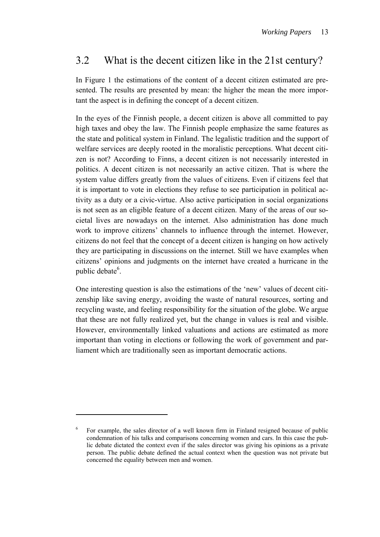### 3.2 What is the decent citizen like in the 21st century?

In Figure 1 the estimations of the content of a decent citizen estimated are presented. The results are presented by mean: the higher the mean the more important the aspect is in defining the concept of a decent citizen.

In the eyes of the Finnish people, a decent citizen is above all committed to pay high taxes and obey the law. The Finnish people emphasize the same features as the state and political system in Finland. The legalistic tradition and the support of welfare services are deeply rooted in the moralistic perceptions. What decent citizen is not? According to Finns, a decent citizen is not necessarily interested in politics. A decent citizen is not necessarily an active citizen. That is where the system value differs greatly from the values of citizens. Even if citizens feel that it is important to vote in elections they refuse to see participation in political activity as a duty or a civic-virtue. Also active participation in social organizations is not seen as an eligible feature of a decent citizen. Many of the areas of our societal lives are nowadays on the internet. Also administration has done much work to improve citizens' channels to influence through the internet. However, citizens do not feel that the concept of a decent citizen is hanging on how actively they are participating in discussions on the internet. Still we have examples when citizens' opinions and judgments on the internet have created a hurricane in the public debate<sup>6</sup>.

One interesting question is also the estimations of the 'new' values of decent citizenship like saving energy, avoiding the waste of natural resources, sorting and recycling waste, and feeling responsibility for the situation of the globe. We argue that these are not fully realized yet, but the change in values is real and visible. However, environmentally linked valuations and actions are estimated as more important than voting in elections or following the work of government and parliament which are traditionally seen as important democratic actions.

1

<sup>6</sup> For example, the sales director of a well known firm in Finland resigned because of public condemnation of his talks and comparisons concerning women and cars. In this case the public debate dictated the context even if the sales director was giving his opinions as a private person. The public debate defined the actual context when the question was not private but concerned the equality between men and women.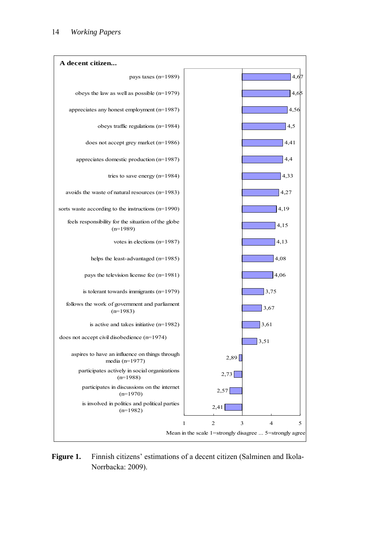

Figure 1. Finnish citizens' estimations of a decent citizen (Salminen and Ikola-Norrbacka: 2009).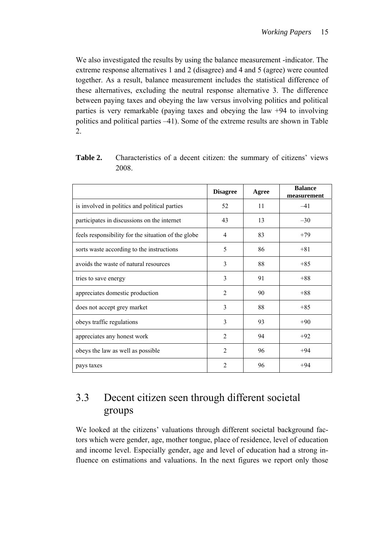We also investigated the results by using the balance measurement -indicator. The extreme response alternatives 1 and 2 (disagree) and 4 and 5 (agree) were counted together. As a result, balance measurement includes the statistical difference of these alternatives, excluding the neutral response alternative 3. The difference between paying taxes and obeying the law versus involving politics and political parties is very remarkable (paying taxes and obeying the law +94 to involving politics and political parties –41). Some of the extreme results are shown in Table 2.

|                                                     | <b>Disagree</b> | Agree | <b>Balance</b><br>measurement |
|-----------------------------------------------------|-----------------|-------|-------------------------------|
| is involved in politics and political parties       | 52              | 11    | $-41$                         |
| participates in discussions on the internet         | 43              | 13    | $-30$                         |
| feels responsibility for the situation of the globe | 4               | 83    | $+79$                         |
| sorts waste according to the instructions           | 5               | 86    | $+81$                         |
| avoids the waste of natural resources               | 3               | 88    | $+85$                         |
| tries to save energy                                | 3               | 91    | $+88$                         |
| appreciates domestic production                     | $\overline{2}$  | 90    | $+88$                         |
| does not accept grey market                         | 3               | 88    | $+85$                         |
| obeys traffic regulations                           | 3               | 93    | $+90$                         |
| appreciates any honest work                         | $\overline{2}$  | 94    | $+92$                         |
| obeys the law as well as possible                   | $\overline{2}$  | 96    | $+94$                         |
| pays taxes                                          | $\mathfrak{D}$  | 96    | $+94$                         |

**Table 2.** Characteristics of a decent citizen: the summary of citizens' views 2008.

# 3.3 Decent citizen seen through different societal groups

We looked at the citizens' valuations through different societal background factors which were gender, age, mother tongue, place of residence, level of education and income level. Especially gender, age and level of education had a strong influence on estimations and valuations. In the next figures we report only those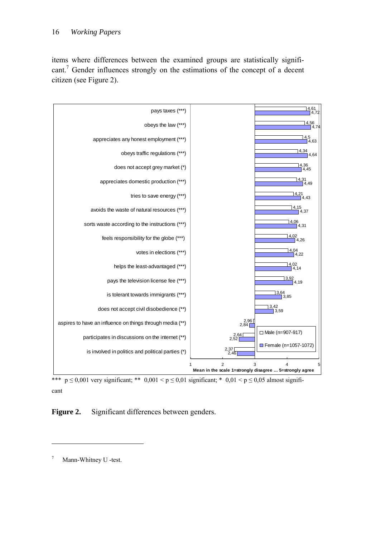items where differences between the examined groups are statistically significant.<sup>7</sup> Gender influences strongly on the estimations of the concept of a decent citizen (see Figure 2).



\*\*\*  $p \le 0,001$  very significant; \*\* 0,001 < p  $\le 0,01$  significant; \* 0,01 < p  $\le 0,05$  almost significant

Figure 2. Significant differences between genders.

1

<sup>7</sup> Mann-Whitney U -test.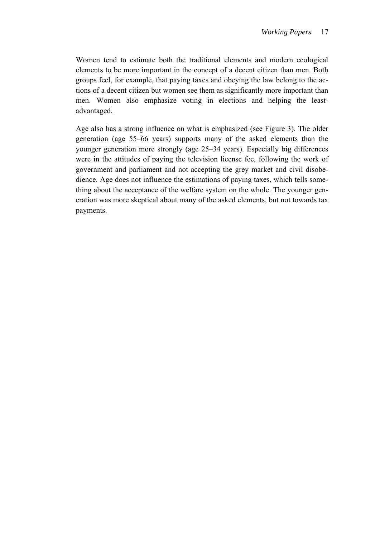Women tend to estimate both the traditional elements and modern ecological elements to be more important in the concept of a decent citizen than men. Both groups feel, for example, that paying taxes and obeying the law belong to the actions of a decent citizen but women see them as significantly more important than men. Women also emphasize voting in elections and helping the leastadvantaged.

Age also has a strong influence on what is emphasized (see Figure 3). The older generation (age 55–66 years) supports many of the asked elements than the younger generation more strongly (age 25–34 years). Especially big differences were in the attitudes of paying the television license fee, following the work of government and parliament and not accepting the grey market and civil disobedience. Age does not influence the estimations of paying taxes, which tells something about the acceptance of the welfare system on the whole. The younger generation was more skeptical about many of the asked elements, but not towards tax payments.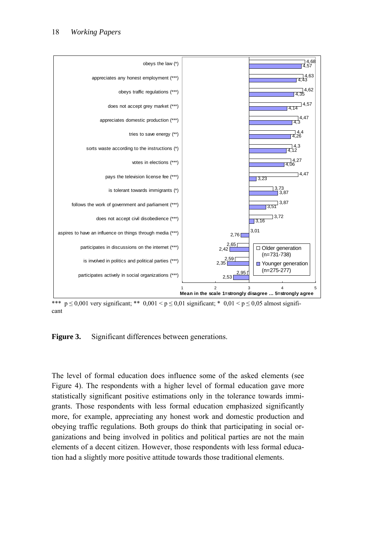

\*\*\*  $p \le 0,001$  very significant; \*\*  $0,001 \le p \le 0,01$  significant; \*  $0,01 \le p \le 0,05$  almost significant

**Figure 3.** Significant differences between generations.

The level of formal education does influence some of the asked elements (see Figure 4). The respondents with a higher level of formal education gave more statistically significant positive estimations only in the tolerance towards immigrants. Those respondents with less formal education emphasized significantly more, for example, appreciating any honest work and domestic production and obeying traffic regulations. Both groups do think that participating in social organizations and being involved in politics and political parties are not the main elements of a decent citizen. However, those respondents with less formal education had a slightly more positive attitude towards those traditional elements.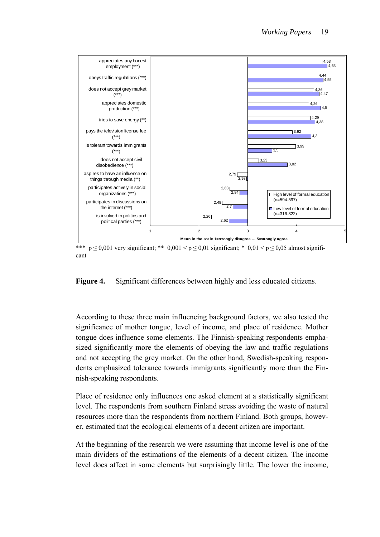

\*\*\*  $p \le 0,001$  very significant; \*\*  $0,001 \le p \le 0,01$  significant; \*  $0,01 \le p \le 0,05$  almost significant

#### **Figure 4.** Significant differences between highly and less educated citizens.

According to these three main influencing background factors, we also tested the significance of mother tongue, level of income, and place of residence. Mother tongue does influence some elements. The Finnish-speaking respondents emphasized significantly more the elements of obeying the law and traffic regulations and not accepting the grey market. On the other hand, Swedish-speaking respondents emphasized tolerance towards immigrants significantly more than the Finnish-speaking respondents.

Place of residence only influences one asked element at a statistically significant level. The respondents from southern Finland stress avoiding the waste of natural resources more than the respondents from northern Finland. Both groups, however, estimated that the ecological elements of a decent citizen are important.

At the beginning of the research we were assuming that income level is one of the main dividers of the estimations of the elements of a decent citizen. The income level does affect in some elements but surprisingly little. The lower the income,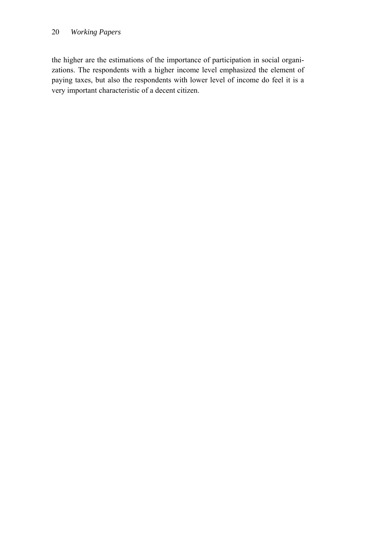#### 20 *Working Papers*

the higher are the estimations of the importance of participation in social organizations. The respondents with a higher income level emphasized the element of paying taxes, but also the respondents with lower level of income do feel it is a very important characteristic of a decent citizen.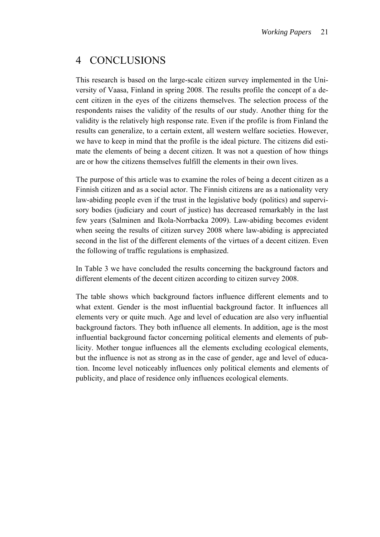# 4 CONCLUSIONS

This research is based on the large-scale citizen survey implemented in the University of Vaasa, Finland in spring 2008. The results profile the concept of a decent citizen in the eyes of the citizens themselves. The selection process of the respondents raises the validity of the results of our study. Another thing for the validity is the relatively high response rate. Even if the profile is from Finland the results can generalize, to a certain extent, all western welfare societies. However, we have to keep in mind that the profile is the ideal picture. The citizens did estimate the elements of being a decent citizen. It was not a question of how things are or how the citizens themselves fulfill the elements in their own lives.

The purpose of this article was to examine the roles of being a decent citizen as a Finnish citizen and as a social actor. The Finnish citizens are as a nationality very law-abiding people even if the trust in the legislative body (politics) and supervisory bodies (judiciary and court of justice) has decreased remarkably in the last few years (Salminen and Ikola-Norrbacka 2009). Law-abiding becomes evident when seeing the results of citizen survey 2008 where law-abiding is appreciated second in the list of the different elements of the virtues of a decent citizen. Even the following of traffic regulations is emphasized.

In Table 3 we have concluded the results concerning the background factors and different elements of the decent citizen according to citizen survey 2008.

The table shows which background factors influence different elements and to what extent. Gender is the most influential background factor. It influences all elements very or quite much. Age and level of education are also very influential background factors. They both influence all elements. In addition, age is the most influential background factor concerning political elements and elements of publicity. Mother tongue influences all the elements excluding ecological elements, but the influence is not as strong as in the case of gender, age and level of education. Income level noticeably influences only political elements and elements of publicity, and place of residence only influences ecological elements.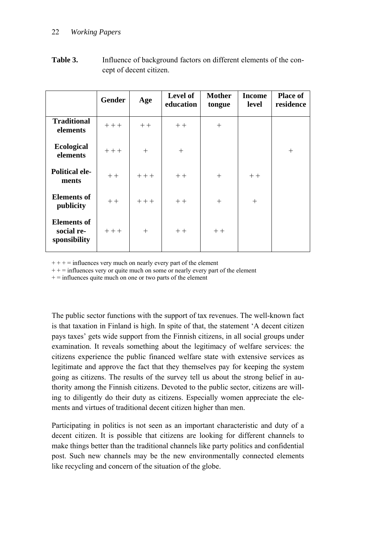|                                                  | <b>Gender</b> | Age    | Level of<br>education | <b>Mother</b><br>tongue | <b>Income</b><br>level | <b>Place of</b><br>residence |
|--------------------------------------------------|---------------|--------|-----------------------|-------------------------|------------------------|------------------------------|
| <b>Traditional</b><br>elements                   | $++$          | $++$   | $++$                  | $^{+}$                  |                        |                              |
| <b>Ecological</b><br>elements                    | $+++$         | $+$    | $^{+}$                |                         |                        | $+$                          |
| <b>Political ele-</b><br>ments                   | $++$          | $++$   | $++$                  | $^{+}$                  | $++$                   |                              |
| <b>Elements of</b><br>publicity                  | $++$          | $++$   | $++$                  | $^{+}$                  | $^{+}$                 |                              |
| <b>Elements of</b><br>social re-<br>sponsibility | $++$          | $^{+}$ | $++$                  | $++$                    |                        |                              |

Table 3. Influence of background factors on different elements of the concept of decent citizen.

 $+++$  = influences very much on nearly every part of the element

 $++$  = influences very or quite much on some or nearly every part of the element

 $+=$  influences quite much on one or two parts of the element

The public sector functions with the support of tax revenues. The well-known fact is that taxation in Finland is high. In spite of that, the statement 'A decent citizen pays taxes' gets wide support from the Finnish citizens, in all social groups under examination. It reveals something about the legitimacy of welfare services: the citizens experience the public financed welfare state with extensive services as legitimate and approve the fact that they themselves pay for keeping the system going as citizens. The results of the survey tell us about the strong belief in authority among the Finnish citizens. Devoted to the public sector, citizens are willing to diligently do their duty as citizens. Especially women appreciate the elements and virtues of traditional decent citizen higher than men.

Participating in politics is not seen as an important characteristic and duty of a decent citizen. It is possible that citizens are looking for different channels to make things better than the traditional channels like party politics and confidential post. Such new channels may be the new environmentally connected elements like recycling and concern of the situation of the globe.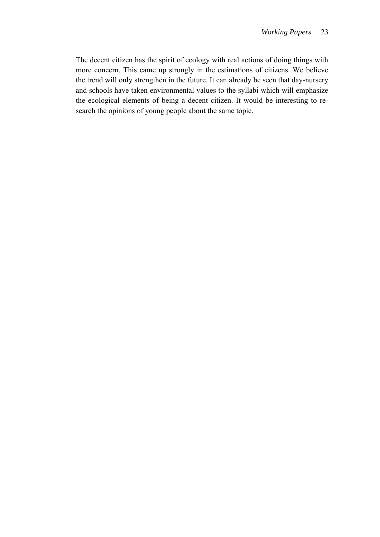The decent citizen has the spirit of ecology with real actions of doing things with more concern. This came up strongly in the estimations of citizens. We believe the trend will only strengthen in the future. It can already be seen that day-nursery and schools have taken environmental values to the syllabi which will emphasize the ecological elements of being a decent citizen. It would be interesting to research the opinions of young people about the same topic.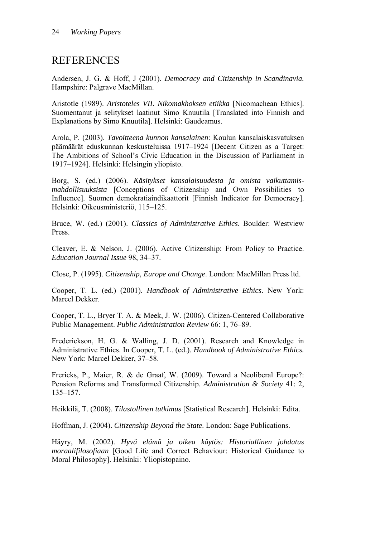### REFERENCES

Andersen, J. G. & Hoff, J (2001). *Democracy and Citizenship in Scandinavia.* Hampshire: Palgrave MacMillan.

Aristotle (1989). *Aristoteles VII. Nikomakhoksen etiikka* [Nicomachean Ethics]. Suomentanut ja selitykset laatinut Simo Knuutila [Translated into Finnish and Explanations by Simo Knuutila]. Helsinki: Gaudeamus.

Arola, P. (2003). *Tavoitteena kunnon kansalainen*: Koulun kansalaiskasvatuksen päämäärät eduskunnan keskusteluissa 1917–1924 [Decent Citizen as a Target: The Ambitions of School's Civic Education in the Discussion of Parliament in 1917–1924]. Helsinki: Helsingin yliopisto.

Borg, S. (ed.) (2006). *Käsitykset kansalaisuudesta ja omista vaikuttamismahdollisuuksista* [Conceptions of Citizenship and Own Possibilities to Influence]. Suomen demokratiaindikaattorit [Finnish Indicator for Democracy]. Helsinki: Oikeusministeriö, 115–125.

Bruce, W. (ed.) (2001). *Classics of Administrative Ethics*. Boulder: Westview Press.

Cleaver, E. & Nelson, J. (2006). Active Citizenship: From Policy to Practice. *Education Journal Issue* 98, 34–37.

Close, P. (1995). *Citizenship, Europe and Change*. London: MacMillan Press ltd.

Cooper, T. L. (ed.) (2001). *Handbook of Administrative Ethics*. New York: Marcel Dekker.

Cooper, T. L., Bryer T. A. & Meek, J. W. (2006). Citizen-Centered Collaborative Public Management. *Public Administration Review* 66: 1, 76–89.

Frederickson, H. G. & Walling, J. D. (2001). Research and Knowledge in Administrative Ethics. In Cooper, T. L. (ed.). *Handbook of Administrative Ethics.*  New York: Marcel Dekker, 37–58.

Frericks, P., Maier, R. & de Graaf, W. (2009). Toward a Neoliberal Europe?: Pension Reforms and Transformed Citizenship. *Administration & Society* 41: 2, 135–157.

Heikkilä, T. (2008). *Tilastollinen tutkimus* [Statistical Research]. Helsinki: Edita.

Hoffman, J. (2004). *Citizenship Beyond the State*. London: Sage Publications.

Häyry, M. (2002). *Hyvä elämä ja oikea käytös: Historiallinen johdatus moraalifilosofiaan* [Good Life and Correct Behaviour: Historical Guidance to Moral Philosophy]. Helsinki: Yliopistopaino.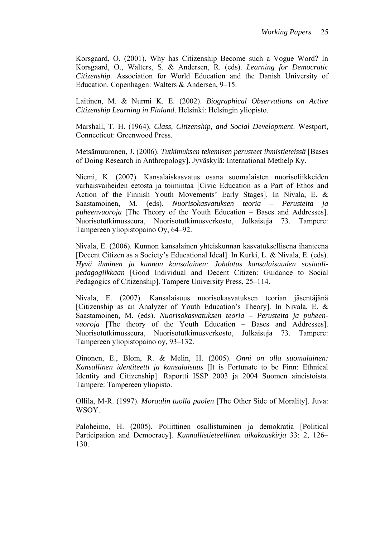Korsgaard, O. (2001). Why has Citizenship Become such a Vogue Word? In Korsgaard, O., Walters, S. & Andersen, R. (eds). *Learning for Democratic Citizenship.* Association for World Education and the Danish University of Education. Copenhagen: Walters & Andersen, 9–15.

Laitinen, M. & Nurmi K. E. (2002). *Biographical Observations on Active Citizenship Learning in Finland*. Helsinki: Helsingin yliopisto.

Marshall, T. H. (1964). *Class, Citizenship, and Social Development*. Westport, Connecticut: Greenwood Press.

Metsämuuronen, J. (2006). *Tutkimuksen tekemisen perusteet ihmistieteissä* [Bases of Doing Research in Anthropology]. Jyväskylä: International Methelp Ky.

Niemi, K. (2007). Kansalaiskasvatus osana suomalaisten nuorisoliikkeiden varhaisvaiheiden eetosta ja toimintaa [Civic Education as a Part of Ethos and Action of the Finnish Youth Movements' Early Stages]. In Nivala, E. & Saastamoinen, M. (eds). *Nuorisokasvatuksen teoria – Perusteita ja puheenvuoroja* [The Theory of the Youth Education – Bases and Addresses]. Nuorisotutkimusseura, Nuorisotutkimusverkosto, Julkaisuja 73. Tampere: Tampereen yliopistopaino Oy, 64–92.

Nivala, E. (2006). Kunnon kansalainen yhteiskunnan kasvatuksellisena ihanteena [Decent Citizen as a Society's Educational Ideal]. In Kurki, L. & Nivala, E. (eds). *Hyvä ihminen ja kunnon kansalainen: Johdatus kansalaisuuden sosiaalipedagogiikkaan* [Good Individual and Decent Citizen: Guidance to Social Pedagogics of Citizenship]. Tampere University Press, 25–114.

Nivala, E. (2007). Kansalaisuus nuorisokasvatuksen teorian jäsentäjänä [Citizenship as an Analyzer of Youth Education's Theory]. In Nivala, E. & Saastamoinen, M. (eds). *Nuorisokasvatuksen teoria – Perusteita ja puheenvuoroja* [The theory of the Youth Education – Bases and Addresses]. Nuorisotutkimusseura, Nuorisotutkimusverkosto, Julkaisuja 73. Tampere: Tampereen yliopistopaino oy, 93–132.

Oinonen, E., Blom, R. & Melin, H. (2005). *Onni on olla suomalainen: Kansallinen identiteetti ja kansalaisuus* [It is Fortunate to be Finn: Ethnical Identity and Citizenship]. Raportti ISSP 2003 ja 2004 Suomen aineistoista. Tampere: Tampereen yliopisto.

Ollila, M-R. (1997). *Moraalin tuolla puolen* [The Other Side of Morality]. Juva: WSOY.

Paloheimo, H. (2005). Poliittinen osallistuminen ja demokratia [Political Participation and Democracy]. *Kunnallistieteellinen aikakauskirja* 33: 2, 126– 130.